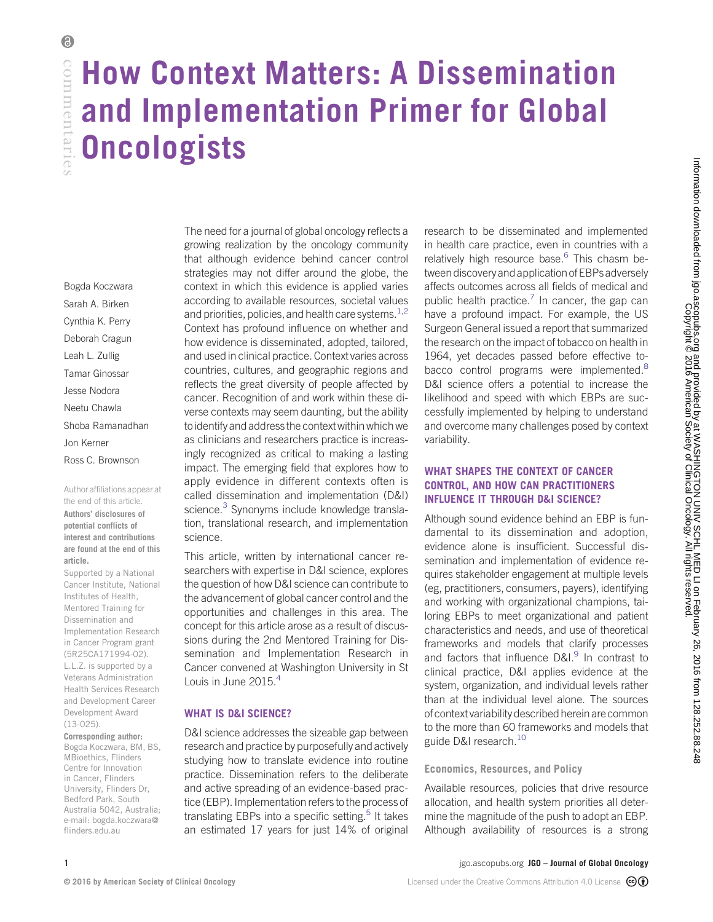# **ENOW Context Matters: A Dissemination<br>and Implementation Primer for Global<br>Concologists** and Implementation Primer for Global **Oncologists**

Bogda Koczwara Sarah A. Birken Cynthia K. Perry Deborah Cragun Leah L. Zullig Tamar Ginossar Jesse Nodora Neetu Chawla Shoba Ramanadhan Jon Kerner Ross C. Brownson

#### Author affiliations appear at the end of this article. Authors' disclosures of potential conflicts of interest and contributions are found at the end of this article.

Supported by a National Cancer Institute, National Institutes of Health, Mentored Training for Dissemination and Implementation Research in Cancer Program grant (5R25CA171994-02). L.L.Z. is supported by a Veterans Administration Health Services Research and Development Career Development Award (13-025).

Corresponding author: Bogda Koczwara, BM, BS, MBioethics, Flinders Centre for Innovation in Cancer, Flinders University, Flinders Dr, Bedford Park, South Australia 5042, Australia; e-mail: [bogda.koczwara@](mailto:bogda.koczwara@flinders.edu.au) [flinders.edu.au](mailto:bogda.koczwara@flinders.edu.au)

The need for a journal of global oncology reflects a growing realization by the oncology community that although evidence behind cancer control strategies may not differ around the globe, the context in which this evidence is applied varies according to available resources, societal values and priorities, policies, and health care systems. $1,2$ Context has profound influence on whether and how evidence is disseminated, adopted, tailored, and used in clinical practice. Context varies across countries, cultures, and geographic regions and reflects the great diversity of people affected by cancer. Recognition of and work within these diverse contexts may seem daunting, but the ability to identify and address the context within which we as clinicians and researchers practice is increasingly recognized as critical to making a lasting impact. The emerging field that explores how to apply evidence in different contexts often is called dissemination and implementation (D&I) science.<sup>[3](#page-3-0)</sup> Synonyms include knowledge translation, translational research, and implementation science.

This article, written by international cancer researchers with expertise in D&I science, explores the question of how D&I science can contribute to the advancement of global cancer control and the opportunities and challenges in this area. The concept for this article arose as a result of discussions during the 2nd Mentored Training for Dissemination and Implementation Research in Cancer convened at Washington University in St Louis in June 2015.<sup>[4](#page-3-0)</sup>

# WHAT IS D&I SCIENCE?

D&I science addresses the sizeable gap between research and practice by purposefully and actively studying how to translate evidence into routine practice. Dissemination refers to the deliberate and active spreading of an evidence-based practice (EBP). Implementation refers to the process of translating EBPs into a specific setting. $5$  It takes an estimated 17 years for just 14% of original

research to be disseminated and implemented in health care practice, even in countries with a relatively high resource base. $6$  This chasm between discovery and application of EBPs adversely affects outcomes across all fields of medical and public health practice.<sup>7</sup> In cancer, the gap can have a profound impact. For example, the US Surgeon General issued a report that summarized the research on the impact of tobacco on health in 1964, yet decades passed before effective to-bacco control programs were implemented.<sup>[8](#page-4-0)</sup> D&I science offers a potential to increase the likelihood and speed with which EBPs are successfully implemented by helping to understand and overcome many challenges posed by context variability.

# WHAT SHAPES THE CONTEXT OF CANCER CONTROL, AND HOW CAN PRACTITIONERS INFLUENCE IT THROUGH D&I SCIENCE?

Although sound evidence behind an EBP is fundamental to its dissemination and adoption, evidence alone is insufficient. Successful dissemination and implementation of evidence requires stakeholder engagement at multiple levels (eg, practitioners, consumers, payers), identifying and working with organizational champions, tailoring EBPs to meet organizational and patient characteristics and needs, and use of theoretical frameworks and models that clarify processes and factors that influence D&I.<sup>[9](#page-4-0)</sup> In contrast to clinical practice, D&I applies evidence at the system, organization, and individual levels rather than at the individual level alone. The sources of context variability described herein are common to the more than 60 frameworks and models that guide D&I research.<sup>[10](#page-4-0)</sup>

# Economics, Resources, and Policy

Available resources, policies that drive resource allocation, and health system priorities all determine the magnitude of the push to adopt an EBP. Although availability of resources is a strong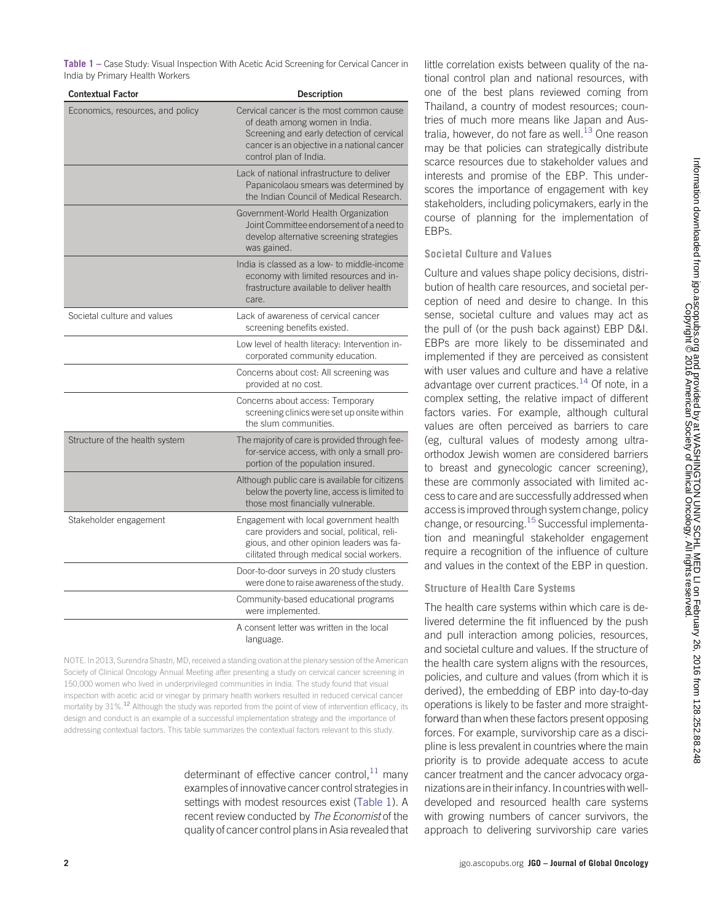Table 1 - Case Study: Visual Inspection With Acetic Acid Screening for Cervical Cancer in India by Primary Health Workers

| <b>Contextual Factor</b>         | <b>Description</b>                                                                                                                                                                               |
|----------------------------------|--------------------------------------------------------------------------------------------------------------------------------------------------------------------------------------------------|
| Economics, resources, and policy | Cervical cancer is the most common cause<br>of death among women in India.<br>Screening and early detection of cervical<br>cancer is an objective in a national cancer<br>control plan of India. |
|                                  | Lack of national infrastructure to deliver<br>Papanicolaou smears was determined by<br>the Indian Council of Medical Research.                                                                   |
|                                  | Government-World Health Organization<br>Joint Committee endorsement of a need to<br>develop alternative screening strategies<br>was gained.                                                      |
|                                  | India is classed as a low- to middle-income<br>economy with limited resources and in-<br>frastructure available to deliver health<br>care.                                                       |
| Societal culture and values      | Lack of awareness of cervical cancer<br>screening benefits existed.                                                                                                                              |
|                                  | Low level of health literacy: Intervention in-<br>corporated community education.                                                                                                                |
|                                  | Concerns about cost: All screening was<br>provided at no cost.                                                                                                                                   |
|                                  | Concerns about access: Temporary<br>screening clinics were set up onsite within<br>the slum communities.                                                                                         |
| Structure of the health system   | The majority of care is provided through fee-<br>for-service access, with only a small pro-<br>portion of the population insured.                                                                |
|                                  | Although public care is available for citizens<br>below the poverty line, access is limited to<br>those most financially vulnerable.                                                             |
| Stakeholder engagement           | Engagement with local government health<br>care providers and social, political, reli-<br>gious, and other opinion leaders was fa-<br>cilitated through medical social workers.                  |
|                                  | Door-to-door surveys in 20 study clusters<br>were done to raise awareness of the study.                                                                                                          |
|                                  | Community-based educational programs<br>were implemented.                                                                                                                                        |
|                                  | A consent letter was written in the local<br>language.                                                                                                                                           |

NOTE. In 2013, Surendra Shastri, MD, received a standing ovation at the plenary session of the American Society of Clinical Oncology Annual Meeting after presenting a study on cervical cancer screening in 150,000 women who lived in underprivileged communities in India. The study found that visual inspection with acetic acid or vinegar by primary health workers resulted in reduced cervical cancer mortality by 31%.<sup>[12](#page-4-0)</sup> Although the study was reported from the point of view of intervention efficacy, its design and conduct is an example of a successful implementation strategy and the importance of addressing contextual factors. This table summarizes the contextual factors relevant to this study.

> determinant of effective cancer control,  $11$  many examples of innovative cancer control strategies in settings with modest resources exist (Table 1). A recent review conducted by The Economist of the quality of cancer control plans in Asia revealed that

little correlation exists between quality of the national control plan and national resources, with one of the best plans reviewed coming from Thailand, a country of modest resources; countries of much more means like Japan and Australia, however, do not fare as well. $13$  One reason may be that policies can strategically distribute scarce resources due to stakeholder values and interests and promise of the EBP. This underscores the importance of engagement with key stakeholders, including policymakers, early in the course of planning for the implementation of EBPs.

## Societal Culture and Values

Culture and values shape policy decisions, distribution of health care resources, and societal perception of need and desire to change. In this sense, societal culture and values may act as the pull of (or the push back against) EBP D&I. EBPs are more likely to be disseminated and implemented if they are perceived as consistent with user values and culture and have a relative advantage over current practices. $14$  Of note, in a complex setting, the relative impact of different factors varies. For example, although cultural values are often perceived as barriers to care (eg, cultural values of modesty among ultraorthodox Jewish women are considered barriers to breast and gynecologic cancer screening), these are commonly associated with limited access to care and are successfully addressed when access is improved through system change, policy change, or resourcing[.15](#page-4-0) Successful implementation and meaningful stakeholder engagement require a recognition of the influence of culture and values in the context of the EBP in question.

## Structure of Health Care Systems

The health care systems within which care is delivered determine the fit influenced by the push and pull interaction among policies, resources, and societal culture and values. If the structure of the health care system aligns with the resources, policies, and culture and values (from which it is derived), the embedding of EBP into day-to-day operations is likely to be faster and more straightforward than when these factors present opposing forces. For example, survivorship care as a discipline is less prevalent in countries where the main priority is to provide adequate access to acute cancer treatment and the cancer advocacy organizations are intheir infancy. In countrieswith welldeveloped and resourced health care systems with growing numbers of cancer survivors, the approach to delivering survivorship care varies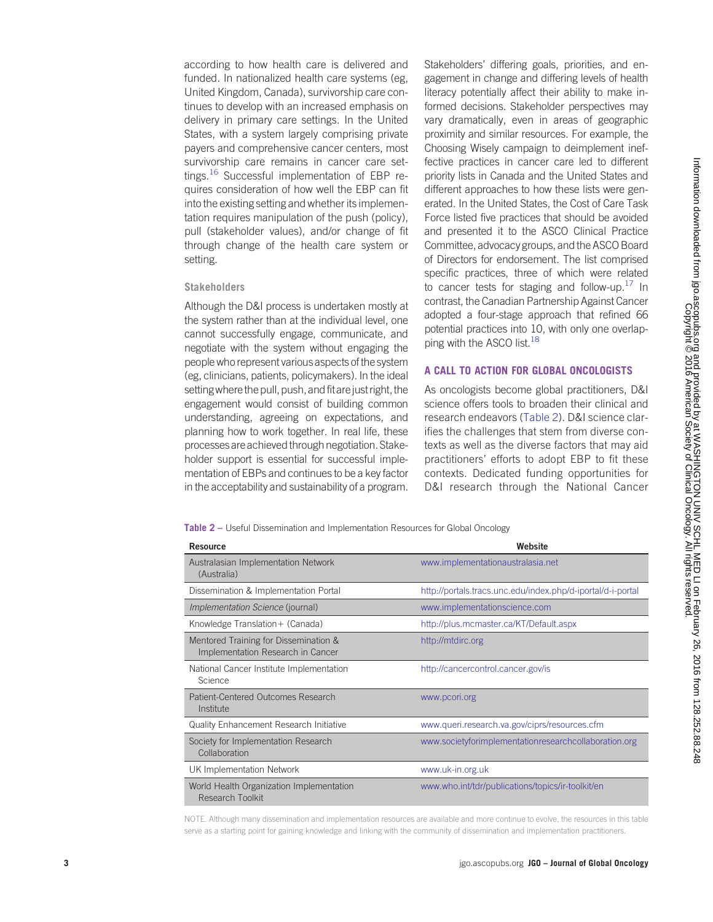according to how health care is delivered and funded. In nationalized health care systems (eg, United Kingdom, Canada), survivorship care continues to develop with an increased emphasis on delivery in primary care settings. In the United States, with a system largely comprising private payers and comprehensive cancer centers, most survivorship care remains in cancer care set-tings.<sup>[16](#page-4-0)</sup> Successful implementation of EBP requires consideration of how well the EBP can fit into the existing setting and whether its implementation requires manipulation of the push (policy), pull (stakeholder values), and/or change of fit through change of the health care system or setting.

## **Stakeholders**

Although the D&I process is undertaken mostly at the system rather than at the individual level, one cannot successfully engage, communicate, and negotiate with the system without engaging the people who represent various aspects of the system (eg, clinicians, patients, policymakers). In the ideal setting where the pull, push, and fit are just right, the engagement would consist of building common understanding, agreeing on expectations, and planning how to work together. In real life, these processes are achieved through negotiation. Stakeholder support is essential for successful implementation of EBPs and continues to be a key factor in the acceptability and sustainability of a program.

Stakeholders ' differing goals, priorities, and engagement in change and differing levels of health literacy potentially affect their ability to make informed decisions. Stakeholder perspectives may vary dramatically, even in areas of geographic proximity and similar resources. For example, the Choosing Wisely campaign to deimplement ineffective practices in cancer care led to different priority lists in Canada and the United States and different approaches to how these lists were generated. In the United States, the Cost of Care Task Force listed five practices that should be avoided and presented it to the ASCO Clinical Practice Committee, advocacy groups, and the ASCO Board of Directors for endorsement. The list comprised specific practices, three of which were related to cancer tests for staging and follow-up. $17$  In contrast, the Canadian Partnership Against Cancer adopted a four-stage approach that refined 66 potential practices into 10, with only one overlap-ping with the ASCO list.<sup>[18](#page-4-0)</sup>

## A CALL TO ACTION FOR GLOBAL ONCOLOGISTS

As oncologists become global practitioners, D&I science offers tools to broaden their clinical and research endeavors (Table 2). D&I science clarifies the challenges that stem from diverse contexts as well as the diverse factors that may aid practitioners ' efforts to adopt EBP to fit these contexts. Dedicated funding opportunities for D&I research through the National Cancer

Table 2 - Useful Dissemination and Implementation Resources for Global Oncology

| Resource                                                                   | Website                                                     |
|----------------------------------------------------------------------------|-------------------------------------------------------------|
| Australasian Implementation Network<br>(Australia)                         | www.implementationaustralasia.net                           |
| Dissemination & Implementation Portal                                      | http://portals.tracs.unc.edu/index.php/d-iportal/d-i-portal |
| <i>Implementation Science</i> (journal)                                    | www.implementationscience.com                               |
| Knowledge Translation + (Canada)                                           | http://plus.mcmaster.ca/KT/Default.aspx                     |
| Mentored Training for Dissemination &<br>Implementation Research in Cancer | http://mtdirc.org                                           |
| National Cancer Institute Implementation<br>Science                        | http://cancercontrol.cancer.gov/is                          |
| Patient-Centered Outcomes Research<br>Institute                            | www.pcori.org                                               |
| <b>Quality Enhancement Research Initiative</b>                             | www.queri.research.va.gov/ciprs/resources.cfm               |
| Society for Implementation Research<br>Collaboration                       | www.societyforimplementationresearchcollaboration.org       |
| UK Implementation Network                                                  | www.uk-in.org.uk                                            |
| World Health Organization Implementation<br>Research Toolkit               | www.who.int/tdr/publications/topics/ir-toolkit/en           |

NOTE. Although many dissemination and implementation resources are available and more continue to evolve, the resources in this table serve as a starting point for gaining knowledge and linking with the community of dissemination and implementation practitioners.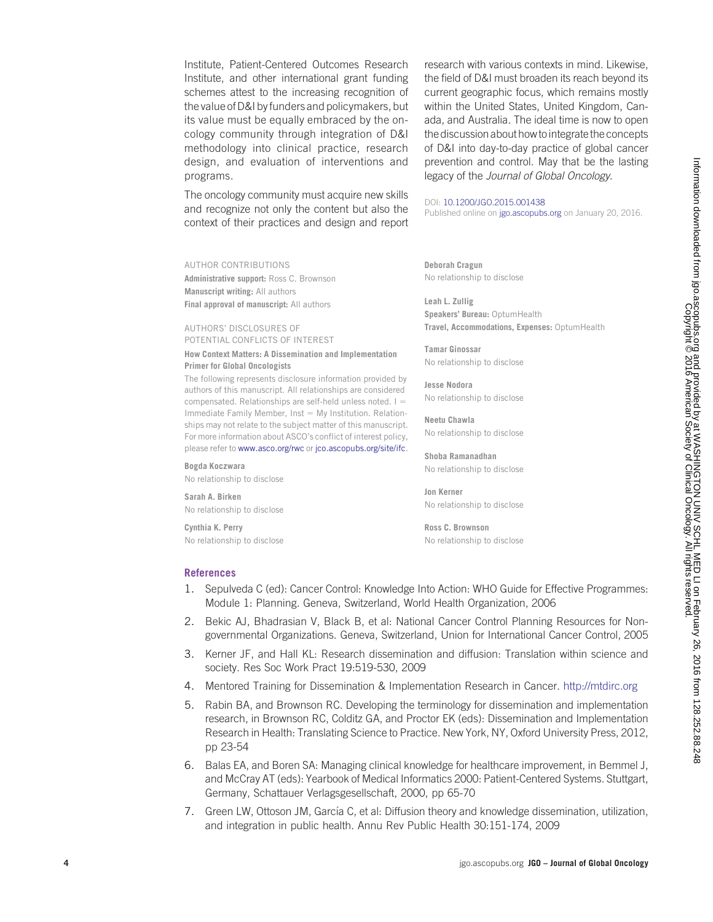<span id="page-3-0"></span>Institute, Patient-Centered Outcomes Research Institute, and other international grant funding schemes attest to the increasing recognition of the value of D&I by funders and policymakers, but its value must be equally embraced by the oncology community through integration of D&I methodology into clinical practice, research design, and evaluation of interventions and programs.

The oncology community must acquire new skills and recognize not only the content but also the context of their practices and design and report

research with various contexts in mind. Likewise, the field of D&I must broaden its reach beyond its current geographic focus, which remains mostly within the United States, United Kingdom, Canada, and Australia. The ideal time is now to open the discussion about howto integrate the concepts of D&I into day-to-day practice of global cancer prevention and control. May that be the lasting legacy of the Journal of Global Oncology.

#### DOI: [10.1200/JGO.2015.001438](http://dx.doi.org/10.1200/JGO.2015.001438)

Published online on [jgo.ascopubs.org](http://jgo.ascopubs.org) on January 20, 2016.

### AUTHOR CONTRIBUTIONS

Administrative support: Ross C. Brownson Manuscript writing: All authors Final approval of manuscript: All authors

### AUTHORS ' DISCLOSURES OF POTENTIAL CONFLICTS OF INTEREST

How Context Matters: A Dissemination and Implementation Primer for Global Oncologists

The following represents disclosure information provided by authors of this manuscript. All relationships are considered compensated. Relationships are self-held unless noted. I 5 Immediate Family Member, Inst = My Institution. Relationships may not relate to the subject matter of this manuscript. For more information about ASCO 's conflict of interest policy, please refer to [www.asco.org/rwc](http://www.asco.org/rwc) or [jco.ascopubs.org/site/ifc](http://jco.ascopubs.org/site/ifc).

Bogda Koczwara No relationship to disclose

Sarah A. Birken No relationship to disclose

Cynthia K. Perry No relationship to disclose Deborah Cragun No relationship to disclose

Leah L. Zullig Speakers' Bureau: OptumHealth Travel, Accommodations, Expenses: OptumHealth

Tamar Ginossar No relationship to disclose

Jesse Nodora No relationship to disclose

Neetu Chawla No relationship to disclose

Shoba Ramanadhan No relationship to disclose

Jon Kerner No relationship to disclose

Ross C. Brownson No relationship to disclose

#### References

- 1. Sepulveda C (ed): Cancer Control: Knowledge Into Action: WHO Guide for Effective Programmes: Module 1: Planning. Geneva, Switzerland, World Health Organization, 2006
- 2. Bekic AJ, Bhadrasian V, Black B, et al: National Cancer Control Planning Resources for Nongovernmental Organizations. Geneva, Switzerland, Union for International Cancer Control, 2005
- 3. Kerner JF, and Hall KL: Research dissemination and diffusion: Translation within science and society. Res Soc Work Pract 19:519-530, 2009
- 4. Mentored Training for Dissemination & Implementation Research in Cancer. <http://mtdirc.org>
- 5. Rabin BA, and Brownson RC. Developing the terminology for dissemination and implementation research, in Brownson RC, Colditz GA, and Proctor EK (eds): Dissemination and Implementation Research in Health: Translating Science to Practice. New York, NY, Oxford University Press, 2012, pp 23-54
- 6. Balas EA, and Boren SA: Managing clinical knowledge for healthcare improvement, in Bemmel J, and McCray AT (eds): Yearbook of Medical Informatics 2000: Patient-Centered Systems. Stuttgart, Germany, Schattauer Verlagsgesellschaft, 2000, pp 65-70
- 7. Green LW, Ottoson JM, García C, et al: Diffusion theory and knowledge dissemination, utilization, and integration in public health. Annu Rev Public Health 30:151-174, 2009